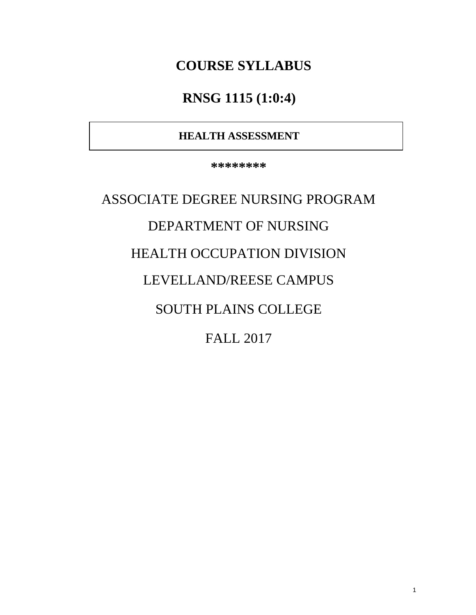# **COURSE SYLLABUS**

# **RNSG 1115 (1:0:4)**

# **HEALTH ASSESSMENT**

**\*\*\*\*\*\*\*\***

ASSOCIATE DEGREE NURSING PROGRAM DEPARTMENT OF NURSING HEALTH OCCUPATION DIVISION LEVELLAND/REESE CAMPUS SOUTH PLAINS COLLEGE FALL 2017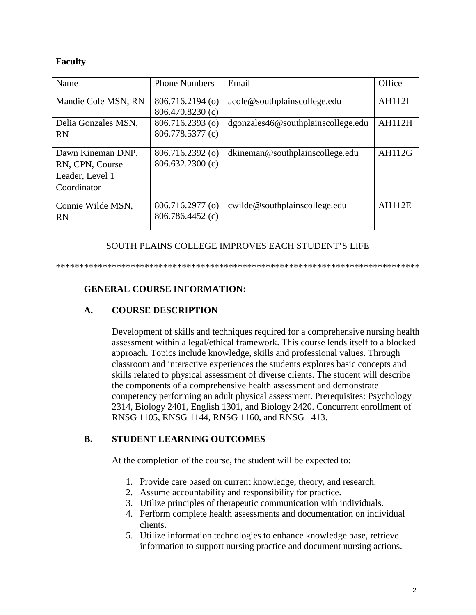#### **Faculty**

| Name                | <b>Phone Numbers</b> | Email                                     | Office        |
|---------------------|----------------------|-------------------------------------------|---------------|
| Mandie Cole MSN, RN | 806.716.2194 (o)     | acole@southplainscollege.edu              | <b>AH112I</b> |
|                     | 806.470.8230 (c)     |                                           |               |
| Delia Gonzales MSN, | 806.716.2393 (o)     | $d$ gonzales $46@$ southplainscollege.edu | <b>AH112H</b> |
| <b>RN</b>           | 806.778.5377 (c)     |                                           |               |
|                     |                      |                                           |               |
| Dawn Kineman DNP.   | 806.716.2392 (o)     | dkineman@southplainscollege.edu           | AH112G        |
| RN, CPN, Course     | 806.632.2300 (c)     |                                           |               |
| Leader, Level 1     |                      |                                           |               |
| Coordinator         |                      |                                           |               |
|                     |                      |                                           |               |
| Connie Wilde MSN,   | 806.716.2977 (o)     | cwilde@southplainscollege.edu             | <b>AH112E</b> |
| <b>RN</b>           | 806.786.4452 (c)     |                                           |               |
|                     |                      |                                           |               |

#### SOUTH PLAINS COLLEGE IMPROVES EACH STUDENT'S LIFE

\*\*\*\*\*\*\*\*\*\*\*\*\*\*\*\*\*\*\*\*\*\*\*\*\*\*\*\*\*\*\*\*\*\*\*\*\*\*\*\*\*\*\*\*\*\*\*\*\*\*\*\*\*\*\*\*\*\*\*\*\*\*\*\*\*\*\*\*\*\*\*\*\*\*\*\*\*\*

### **GENERAL COURSE INFORMATION:**

#### **A. COURSE DESCRIPTION**

Development of skills and techniques required for a comprehensive nursing health assessment within a legal/ethical framework. This course lends itself to a blocked approach. Topics include knowledge, skills and professional values. Through classroom and interactive experiences the students explores basic concepts and skills related to physical assessment of diverse clients. The student will describe the components of a comprehensive health assessment and demonstrate competency performing an adult physical assessment. Prerequisites: Psychology 2314, Biology 2401, English 1301, and Biology 2420. Concurrent enrollment of RNSG 1105, RNSG 1144, RNSG 1160, and RNSG 1413.

#### **B. STUDENT LEARNING OUTCOMES**

At the completion of the course, the student will be expected to:

- 1. Provide care based on current knowledge, theory, and research.
- 2. Assume accountability and responsibility for practice.
- 3. Utilize principles of therapeutic communication with individuals.
- 4. Perform complete health assessments and documentation on individual clients.
- 5. Utilize information technologies to enhance knowledge base, retrieve information to support nursing practice and document nursing actions.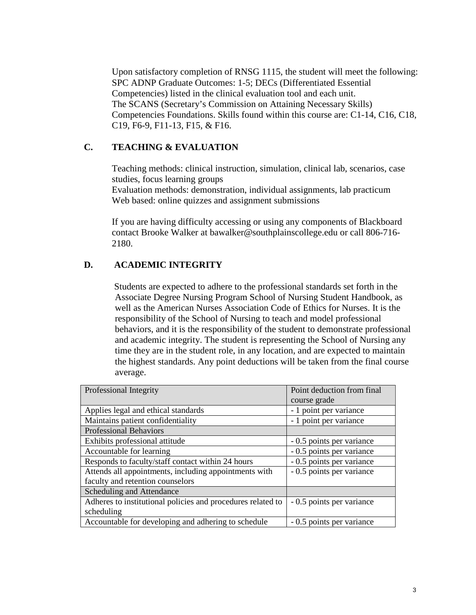Upon satisfactory completion of RNSG 1115, the student will meet the following: SPC ADNP Graduate Outcomes: 1-5; DECs (Differentiated Essential Competencies) listed in the clinical evaluation tool and each unit. The SCANS (Secretary's Commission on Attaining Necessary Skills) Competencies Foundations. Skills found within this course are: C1-14, C16, C18, C19, F6-9, F11-13, F15, & F16.

### **C. TEACHING & EVALUATION**

Teaching methods: clinical instruction, simulation, clinical lab, scenarios, case studies, focus learning groups Evaluation methods: demonstration, individual assignments, lab practicum Web based: online quizzes and assignment submissions

If you are having difficulty accessing or using any components of Blackboard contact Brooke Walker at bawalker@southplainscollege.edu or call 806-716- 2180.

## **D. ACADEMIC INTEGRITY**

Students are expected to adhere to the professional standards set forth in the Associate Degree Nursing Program School of Nursing Student Handbook, as well as the American Nurses Association Code of Ethics for Nurses. It is the responsibility of the School of Nursing to teach and model professional behaviors, and it is the responsibility of the student to demonstrate professional and academic integrity. The student is representing the School of Nursing any time they are in the student role, in any location, and are expected to maintain the highest standards. Any point deductions will be taken from the final course average.

| Professional Integrity                                      | Point deduction from final |  |
|-------------------------------------------------------------|----------------------------|--|
|                                                             | course grade               |  |
| Applies legal and ethical standards                         | - 1 point per variance     |  |
| Maintains patient confidentiality                           | - 1 point per variance     |  |
| <b>Professional Behaviors</b>                               |                            |  |
| Exhibits professional attitude                              | - 0.5 points per variance  |  |
| Accountable for learning                                    | - 0.5 points per variance  |  |
| Responds to faculty/staff contact within 24 hours           | - 0.5 points per variance  |  |
| Attends all appointments, including appointments with       | - 0.5 points per variance  |  |
| faculty and retention counselors                            |                            |  |
| Scheduling and Attendance                                   |                            |  |
| Adheres to institutional policies and procedures related to | - 0.5 points per variance  |  |
| scheduling                                                  |                            |  |
| Accountable for developing and adhering to schedule         | - 0.5 points per variance  |  |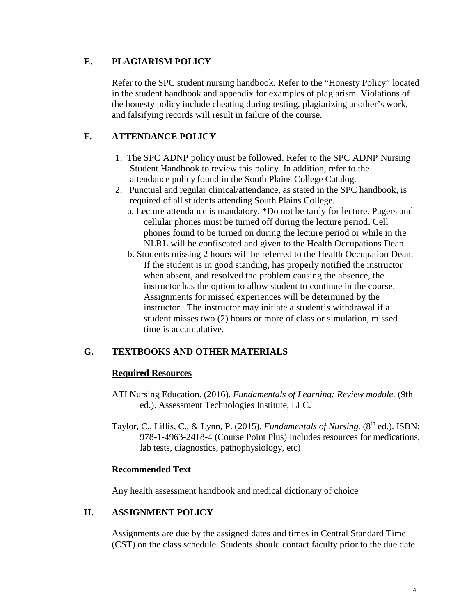### **E. PLAGIARISM POLICY**

Refer to the SPC student nursing handbook. Refer to the "Honesty Policy" located in the student handbook and appendix for examples of plagiarism. Violations of the honesty policy include cheating during testing, plagiarizing another's work, and falsifying records will result in failure of the course.

## **F. ATTENDANCE POLICY**

- 1. The SPC ADNP policy must be followed. Refer to the SPC ADNP Nursing Student Handbook to review this policy. In addition, refer to the attendance policy found in the South Plains College Catalog.
- 2. Punctual and regular clinical/attendance, as stated in the SPC handbook, is required of all students attending South Plains College.
	- a. Lecture attendance is mandatory. \*Do not be tardy for lecture. Pagers and cellular phones must be turned off during the lecture period. Cell phones found to be turned on during the lecture period or while in the NLRL will be confiscated and given to the Health Occupations Dean.
	- b. Students missing 2 hours will be referred to the Health Occupation Dean. If the student is in good standing, has properly notified the instructor when absent, and resolved the problem causing the absence, the instructor has the option to allow student to continue in the course. Assignments for missed experiences will be determined by the instructor. The instructor may initiate a student's withdrawal if a student misses two (2) hours or more of class or simulation, missed time is accumulative.

## **G. TEXTBOOKS AND OTHER MATERIALS**

#### **Required Resources**

- ATI Nursing Education. (2016). *Fundamentals of Learning: Review module.* (9th ed.). Assessment Technologies Institute, LLC.
- Taylor, C., Lillis, C., & Lynn, P. (2015). *Fundamentals of Nursing*. (8<sup>th</sup> ed.). ISBN: 978-1-4963-2418-4 (Course Point Plus) Includes resources for medications, lab tests, diagnostics, pathophysiology, etc)

#### **Recommended Text**

Any health assessment handbook and medical dictionary of choice

#### **H. ASSIGNMENT POLICY**

Assignments are due by the assigned dates and times in Central Standard Time (CST) on the class schedule. Students should contact faculty prior to the due date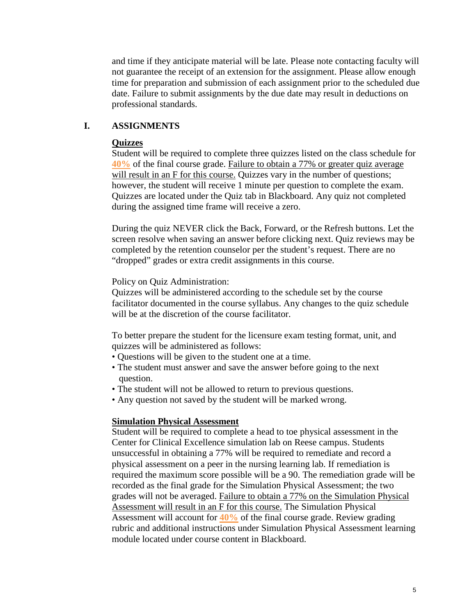and time if they anticipate material will be late. Please note contacting faculty will not guarantee the receipt of an extension for the assignment. Please allow enough time for preparation and submission of each assignment prior to the scheduled due date. Failure to submit assignments by the due date may result in deductions on professional standards.

### **I. ASSIGNMENTS**

#### **Quizzes**

Student will be required to complete three quizzes listed on the class schedule for **40%** of the final course grade. Failure to obtain a 77% or greater quiz average will result in an F for this course. Quizzes vary in the number of questions; however, the student will receive 1 minute per question to complete the exam. Quizzes are located under the Quiz tab in Blackboard. Any quiz not completed during the assigned time frame will receive a zero.

During the quiz NEVER click the Back, Forward, or the Refresh buttons. Let the screen resolve when saving an answer before clicking next. Quiz reviews may be completed by the retention counselor per the student's request. There are no "dropped" grades or extra credit assignments in this course.

Policy on Quiz Administration:

Quizzes will be administered according to the schedule set by the course facilitator documented in the course syllabus. Any changes to the quiz schedule will be at the discretion of the course facilitator.

To better prepare the student for the licensure exam testing format, unit, and quizzes will be administered as follows:

- Questions will be given to the student one at a time.
- The student must answer and save the answer before going to the next question.
- The student will not be allowed to return to previous questions.
- Any question not saved by the student will be marked wrong.

#### **Simulation Physical Assessment**

Student will be required to complete a head to toe physical assessment in the Center for Clinical Excellence simulation lab on Reese campus. Students unsuccessful in obtaining a 77% will be required to remediate and record a physical assessment on a peer in the nursing learning lab. If remediation is required the maximum score possible will be a 90. The remediation grade will be recorded as the final grade for the Simulation Physical Assessment; the two grades will not be averaged. Failure to obtain a 77% on the Simulation Physical Assessment will result in an F for this course. The Simulation Physical Assessment will account for **40%** of the final course grade. Review grading rubric and additional instructions under Simulation Physical Assessment learning module located under course content in Blackboard.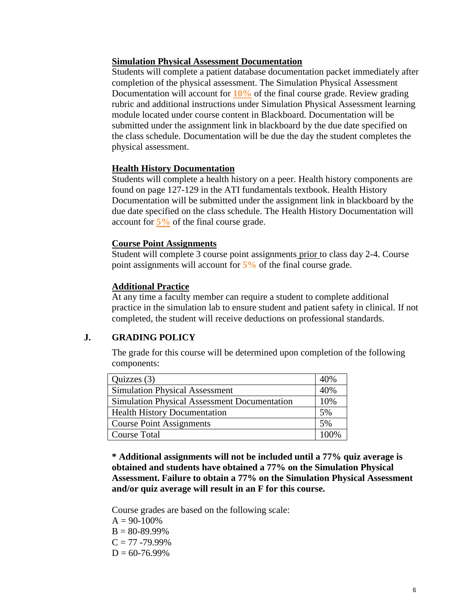#### **Simulation Physical Assessment Documentation**

Students will complete a patient database documentation packet immediately after completion of the physical assessment. The Simulation Physical Assessment Documentation will account for **10%** of the final course grade. Review grading rubric and additional instructions under Simulation Physical Assessment learning module located under course content in Blackboard. Documentation will be submitted under the assignment link in blackboard by the due date specified on the class schedule. Documentation will be due the day the student completes the physical assessment.

#### **Health History Documentation**

Students will complete a health history on a peer. Health history components are found on page 127-129 in the ATI fundamentals textbook. Health History Documentation will be submitted under the assignment link in blackboard by the due date specified on the class schedule. The Health History Documentation will account for **5%** of the final course grade.

#### **Course Point Assignments**

Student will complete 3 course point assignments prior to class day 2-4. Course point assignments will account for **5%** of the final course grade.

#### **Additional Practice**

At any time a faculty member can require a student to complete additional practice in the simulation lab to ensure student and patient safety in clinical. If not completed, the student will receive deductions on professional standards.

#### **J. GRADING POLICY**

The grade for this course will be determined upon completion of the following components:

| Quizzes $(3)$                                       | 40%  |
|-----------------------------------------------------|------|
| <b>Simulation Physical Assessment</b>               |      |
| <b>Simulation Physical Assessment Documentation</b> |      |
| <b>Health History Documentation</b>                 |      |
| <b>Course Point Assignments</b>                     | 5%   |
| <b>Course Total</b>                                 | 100% |

**\* Additional assignments will not be included until a 77% quiz average is obtained and students have obtained a 77% on the Simulation Physical Assessment. Failure to obtain a 77% on the Simulation Physical Assessment and/or quiz average will result in an F for this course.**

Course grades are based on the following scale:

 $A = 90-100%$  $B = 80 - 89.99\%$  $C = 77 - 79.99\%$  $D = 60 - 76.99\%$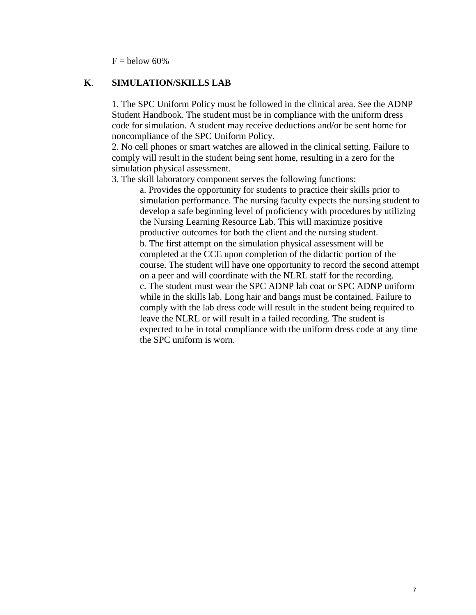$F =$  below 60%

#### **K**. **SIMULATION/SKILLS LAB**

1. The SPC Uniform Policy must be followed in the clinical area. See the ADNP Student Handbook. The student must be in compliance with the uniform dress code for simulation. A student may receive deductions and/or be sent home for noncompliance of the SPC Uniform Policy.

2. No cell phones or smart watches are allowed in the clinical setting. Failure to comply will result in the student being sent home, resulting in a zero for the simulation physical assessment.

3. The skill laboratory component serves the following functions:

a. Provides the opportunity for students to practice their skills prior to simulation performance. The nursing faculty expects the nursing student to develop a safe beginning level of proficiency with procedures by utilizing the Nursing Learning Resource Lab. This will maximize positive productive outcomes for both the client and the nursing student. b. The first attempt on the simulation physical assessment will be completed at the CCE upon completion of the didactic portion of the course. The student will have one opportunity to record the second attempt on a peer and will coordinate with the NLRL staff for the recording. c. The student must wear the SPC ADNP lab coat or SPC ADNP uniform while in the skills lab. Long hair and bangs must be contained. Failure to comply with the lab dress code will result in the student being required to leave the NLRL or will result in a failed recording. The student is expected to be in total compliance with the uniform dress code at any time the SPC uniform is worn.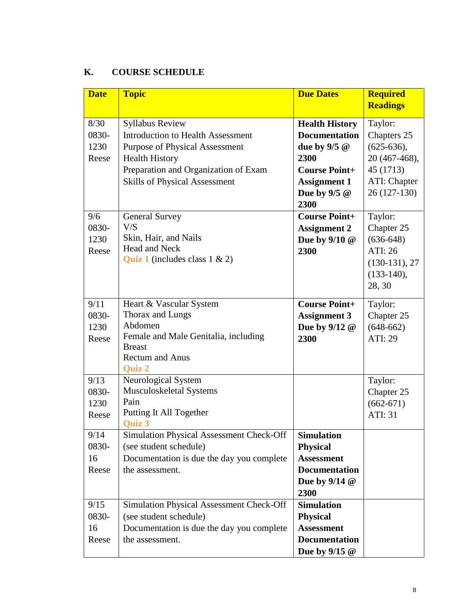## **K. COURSE SCHEDULE**

| <b>Date</b> | <b>Topic</b>                                    | <b>Due Dates</b>       | <b>Required</b><br><b>Readings</b> |
|-------------|-------------------------------------------------|------------------------|------------------------------------|
|             |                                                 |                        |                                    |
| 8/30        | <b>Syllabus Review</b>                          | <b>Health History</b>  | Taylor:                            |
| 0830-       | <b>Introduction to Health Assessment</b>        | <b>Documentation</b>   | Chapters 25                        |
| 1230        | <b>Purpose of Physical Assessment</b>           | due by $9/5$ @         | $(625-636),$                       |
| Reese       | <b>Health History</b>                           | 2300                   | 20 (467-468),                      |
|             | Preparation and Organization of Exam            | <b>Course Point+</b>   | 45 (1713)                          |
|             | <b>Skills of Physical Assessment</b>            | <b>Assignment 1</b>    | <b>ATI: Chapter</b>                |
|             |                                                 | Due by $9/5$ @<br>2300 | 26 (127-130)                       |
| 9/6         | <b>General Survey</b>                           | <b>Course Point+</b>   | Taylor:                            |
| 0830-       | V/S                                             | <b>Assignment 2</b>    | Chapter 25                         |
| 1230        | Skin, Hair, and Nails                           | Due by 9/10 @          | $(636-648)$                        |
| Reese       | <b>Head and Neck</b>                            | 2300                   | ATI: 26                            |
|             | <b>Quiz 1</b> (includes class $1 \& 2$ )        |                        | $(130-131), 27$                    |
|             |                                                 |                        | $(133-140),$                       |
|             |                                                 |                        | 28, 30                             |
| 9/11        | Heart & Vascular System                         | <b>Course Point+</b>   | Taylor:                            |
| 0830-       | Thorax and Lungs                                | <b>Assignment 3</b>    | Chapter 25                         |
| 1230        | Abdomen                                         | Due by 9/12 @          | $(648-662)$                        |
| Reese       | Female and Male Genitalia, including            | 2300                   | <b>ATI: 29</b>                     |
|             | <b>Breast</b>                                   |                        |                                    |
|             | <b>Rectum and Anus</b>                          |                        |                                    |
|             | <b>Ouiz 2</b>                                   |                        |                                    |
| 9/13        | Neurological System                             |                        | Taylor:                            |
| 0830-       | Musculoskeletal Systems<br>Pain                 |                        | Chapter 25                         |
| 1230        | Putting It All Together                         |                        | $(662-671)$<br><b>ATI: 31</b>      |
| Reese       | Quiz 3                                          |                        |                                    |
| 9/14        | <b>Simulation Physical Assessment Check-Off</b> | Simulation             |                                    |
| 0830-       | (see student schedule)                          | <b>Physical</b>        |                                    |
| 16          | Documentation is due the day you complete       | <b>Assessment</b>      |                                    |
| Reese       | the assessment.                                 | <b>Documentation</b>   |                                    |
|             |                                                 | Due by $9/14$ @        |                                    |
|             |                                                 | 2300                   |                                    |
| 9/15        | Simulation Physical Assessment Check-Off        | <b>Simulation</b>      |                                    |
| 0830-       | (see student schedule)                          | <b>Physical</b>        |                                    |
| 16          | Documentation is due the day you complete       | <b>Assessment</b>      |                                    |
| Reese       | the assessment.                                 | <b>Documentation</b>   |                                    |
|             |                                                 | Due by $9/15$ @        |                                    |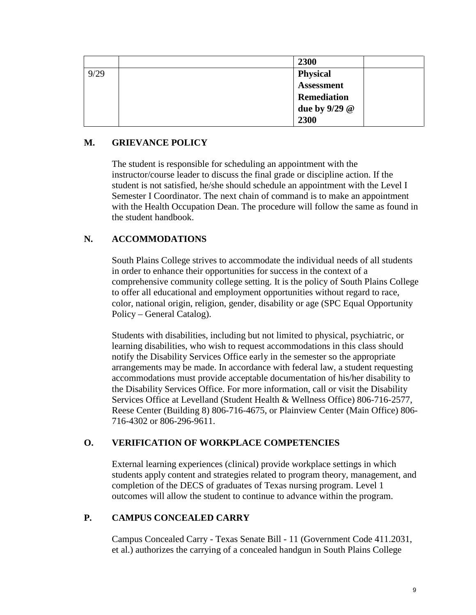|      | 2300               |
|------|--------------------|
| 9/29 | <b>Physical</b>    |
|      | <b>Assessment</b>  |
|      | <b>Remediation</b> |
|      | due by 9/29 @      |
|      | 2300               |

## **M. GRIEVANCE POLICY**

The student is responsible for scheduling an appointment with the instructor/course leader to discuss the final grade or discipline action. If the student is not satisfied, he/she should schedule an appointment with the Level I Semester I Coordinator. The next chain of command is to make an appointment with the Health Occupation Dean. The procedure will follow the same as found in the student handbook.

## **N. ACCOMMODATIONS**

South Plains College strives to accommodate the individual needs of all students in order to enhance their opportunities for success in the context of a comprehensive community college setting. It is the policy of South Plains College to offer all educational and employment opportunities without regard to race, color, national origin, religion, gender, disability or age (SPC Equal Opportunity Policy – General Catalog).

Students with disabilities, including but not limited to physical, psychiatric, or learning disabilities, who wish to request accommodations in this class should notify the Disability Services Office early in the semester so the appropriate arrangements may be made. In accordance with federal law, a student requesting accommodations must provide acceptable documentation of his/her disability to the Disability Services Office. For more information, call or visit the Disability Services Office at Levelland (Student Health & Wellness Office) 806-716-2577, Reese Center (Building 8) 806-716-4675, or Plainview Center (Main Office) 806- 716-4302 or 806-296-9611.

#### **O. VERIFICATION OF WORKPLACE COMPETENCIES**

External learning experiences (clinical) provide workplace settings in which students apply content and strategies related to program theory, management, and completion of the DECS of graduates of Texas nursing program. Level 1 outcomes will allow the student to continue to advance within the program.

#### **P. CAMPUS CONCEALED CARRY**

Campus Concealed Carry - Texas Senate Bill - 11 (Government Code 411.2031, et al.) authorizes the carrying of a concealed handgun in South Plains College